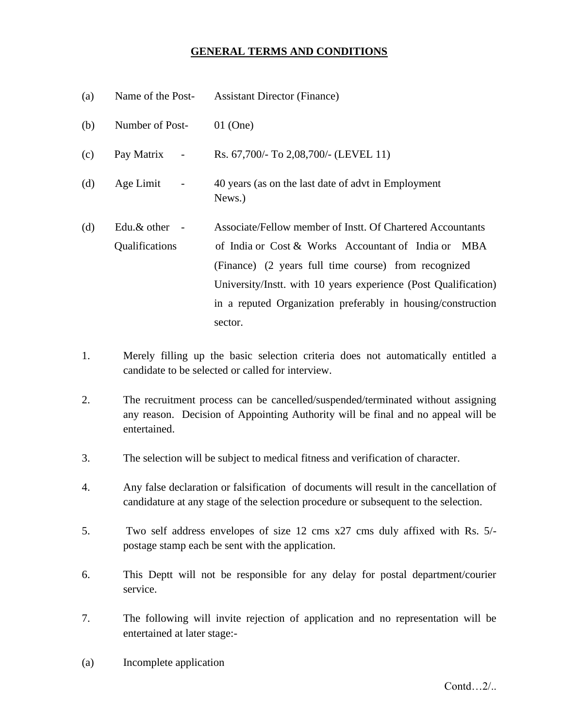## **GENERAL TERMS AND CONDITIONS**

| (a) | Name of the Post-                       | <b>Assistant Director (Finance)</b>                                                                                                                                                                                                                                                                                     |
|-----|-----------------------------------------|-------------------------------------------------------------------------------------------------------------------------------------------------------------------------------------------------------------------------------------------------------------------------------------------------------------------------|
| (b) | Number of Post-                         | $01$ (One)                                                                                                                                                                                                                                                                                                              |
| (c) | Pay Matrix<br>$\sim$ $-$                | Rs. 67,700/- To 2,08,700/- (LEVEL 11)                                                                                                                                                                                                                                                                                   |
| (d) | Age Limit<br>$\overline{\phantom{a}}$   | 40 years (as on the last date of advt in Employment<br>News.)                                                                                                                                                                                                                                                           |
| (d) | Edu.& other<br>$\sim$<br>Qualifications | Associate/Fellow member of Instt. Of Chartered Accountants<br>of India or Cost & Works Accountant of India or MBA<br>(Finance) (2 years full time course) from recognized<br>University/Instt. with 10 years experience (Post Qualification)<br>in a reputed Organization preferably in housing/construction<br>sector. |

- 1. Merely filling up the basic selection criteria does not automatically entitled a candidate to be selected or called for interview.
- 2. The recruitment process can be cancelled/suspended/terminated without assigning any reason. Decision of Appointing Authority will be final and no appeal will be entertained.
- 3. The selection will be subject to medical fitness and verification of character.
- 4. Any false declaration or falsification of documents will result in the cancellation of candidature at any stage of the selection procedure or subsequent to the selection.
- 5. Two self address envelopes of size 12 cms x27 cms duly affixed with Rs. 5/ postage stamp each be sent with the application.
- 6. This Deptt will not be responsible for any delay for postal department/courier service.
- 7. The following will invite rejection of application and no representation will be entertained at later stage:-
- (a) Incomplete application